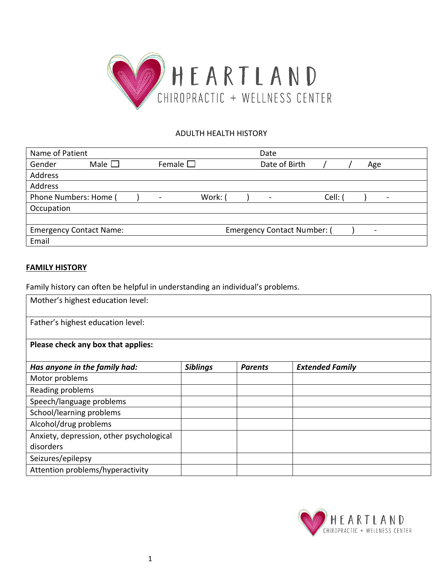

# ADULTH HEALTH HISTORY

| Name of Patient                |                |                  |       | Date                                                                                                                                                         |         |      |
|--------------------------------|----------------|------------------|-------|--------------------------------------------------------------------------------------------------------------------------------------------------------------|---------|------|
| Gender                         | Male $\square$ | Female $\square$ |       | Date of Birth                                                                                                                                                |         | Age  |
| Address                        |                |                  |       |                                                                                                                                                              |         |      |
| Address                        |                |                  |       |                                                                                                                                                              |         |      |
| Phone Numbers: Home /          |                |                  | Work: | $\hskip1.6pt\hskip1.6pt\hskip1.6pt\hskip1.6pt\hskip1.6pt\hskip1.6pt\hskip1.6pt\hskip1.6pt\hskip1.6pt\hskip1.6pt\hskip1.6pt\hskip1.6pt\hskip1.6pt\hskip1.6pt$ | Cell: ( | $\,$ |
| Occupation                     |                |                  |       |                                                                                                                                                              |         |      |
|                                |                |                  |       |                                                                                                                                                              |         |      |
| <b>Emergency Contact Name:</b> |                |                  |       | <b>Emergency Contact Number:</b> (                                                                                                                           |         |      |
| Email                          |                |                  |       |                                                                                                                                                              |         |      |

# **FAMILY HISTORY**

Family history can often be helpful in understanding an individual's problems.

| Mother's highest education level:        |                 |                |                        |
|------------------------------------------|-----------------|----------------|------------------------|
| Father's highest education level:        |                 |                |                        |
| Please check any box that applies:       |                 |                |                        |
| Has anyone in the family had:            | <b>Siblings</b> | <b>Parents</b> | <b>Extended Family</b> |
| Motor problems                           |                 |                |                        |
| Reading problems                         |                 |                |                        |
| Speech/language problems                 |                 |                |                        |
| School/learning problems                 |                 |                |                        |
| Alcohol/drug problems                    |                 |                |                        |
| Anxiety, depression, other psychological |                 |                |                        |
| disorders                                |                 |                |                        |
| Seizures/epilepsy                        |                 |                |                        |
| Attention problems/hyperactivity         |                 |                |                        |

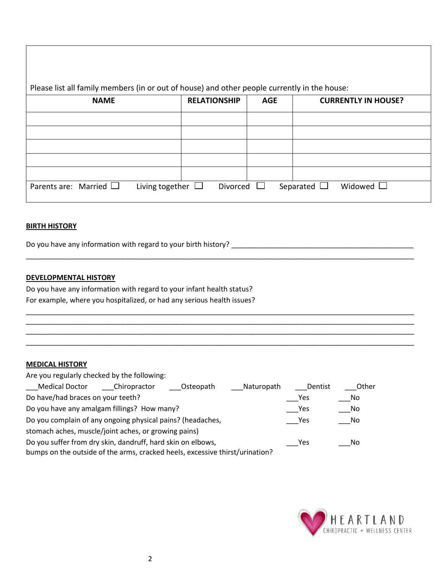| <b>NAME</b>                                           | <b>RELATIONSHIP</b> | <b>AGE</b> | <b>CURRENTLY IN HOUSE?</b> |
|-------------------------------------------------------|---------------------|------------|----------------------------|
|                                                       |                     |            |                            |
|                                                       |                     |            |                            |
|                                                       |                     |            |                            |
|                                                       |                     |            |                            |
| Parents are: Married $\Box$<br>Living together $\Box$ | Divorced            |            | Widowed $\Box$             |

\_\_\_\_\_\_\_\_\_\_\_\_\_\_\_\_\_\_\_\_\_\_\_\_\_\_\_\_\_\_\_\_\_\_\_\_\_\_\_\_\_\_\_\_\_\_\_\_\_\_\_\_\_\_\_\_\_\_\_\_\_\_\_\_\_\_\_\_\_\_\_\_\_\_\_\_\_\_\_\_\_\_\_\_\_\_\_\_\_\_\_\_\_\_\_\_\_\_

\_\_\_\_\_\_\_\_\_\_\_\_\_\_\_\_\_\_\_\_\_\_\_\_\_\_\_\_\_\_\_\_\_\_\_\_\_\_\_\_\_\_\_\_\_\_\_\_\_\_\_\_\_\_\_\_\_\_\_\_\_\_\_\_\_\_\_\_\_\_\_\_\_\_\_\_\_\_\_\_\_\_\_\_\_\_\_\_\_\_\_\_\_\_\_\_\_\_ \_\_\_\_\_\_\_\_\_\_\_\_\_\_\_\_\_\_\_\_\_\_\_\_\_\_\_\_\_\_\_\_\_\_\_\_\_\_\_\_\_\_\_\_\_\_\_\_\_\_\_\_\_\_\_\_\_\_\_\_\_\_\_\_\_\_\_\_\_\_\_\_\_\_\_\_\_\_\_\_\_\_\_\_\_\_\_\_\_\_\_\_\_\_\_\_\_\_ \_\_\_\_\_\_\_\_\_\_\_\_\_\_\_\_\_\_\_\_\_\_\_\_\_\_\_\_\_\_\_\_\_\_\_\_\_\_\_\_\_\_\_\_\_\_\_\_\_\_\_\_\_\_\_\_\_\_\_\_\_\_\_\_\_\_\_\_\_\_\_\_\_\_\_\_\_\_\_\_\_\_\_\_\_\_\_\_\_\_\_\_\_\_\_\_\_\_ \_\_\_\_\_\_\_\_\_\_\_\_\_\_\_\_\_\_\_\_\_\_\_\_\_\_\_\_\_\_\_\_\_\_\_\_\_\_\_\_\_\_\_\_\_\_\_\_\_\_\_\_\_\_\_\_\_\_\_\_\_\_\_\_\_\_\_\_\_\_\_\_\_\_\_\_\_\_\_\_\_\_\_\_\_\_\_\_\_\_\_\_\_\_\_\_\_\_

#### **BIRTH HISTORY**

Do you have any information with regard to your birth history? \_\_\_\_\_\_\_\_\_\_\_\_\_\_\_\_\_\_\_\_\_\_\_\_\_\_\_\_\_\_\_\_\_\_\_\_\_\_\_\_\_\_\_\_\_\_

### **DEVELOPMENTAL HISTORY**

Do you have any information with regard to your infant health status? For example, where you hospitalized, or had any serious health issues?

#### **MEDICAL HISTORY**

| Are you regularly checked by the following:                                  |              |           |            |         |       |
|------------------------------------------------------------------------------|--------------|-----------|------------|---------|-------|
| <b>Medical Doctor</b>                                                        | Chiropractor | Osteopath | Naturopath | Dentist | Other |
| Do have/had braces on your teeth?                                            |              |           |            | Yes     | No.   |
| Do you have any amalgam fillings? How many?                                  |              |           |            | Yes     | No    |
| Do you complain of any ongoing physical pains? (headaches,                   |              |           |            | Yes     | No    |
| stomach aches, muscle/joint aches, or growing pains)                         |              |           |            |         |       |
| Do you suffer from dry skin, dandruff, hard skin on elbows,                  |              |           |            | Yes     | No    |
| bumps on the outside of the arms, cracked heels, excessive thirst/urination? |              |           |            |         |       |

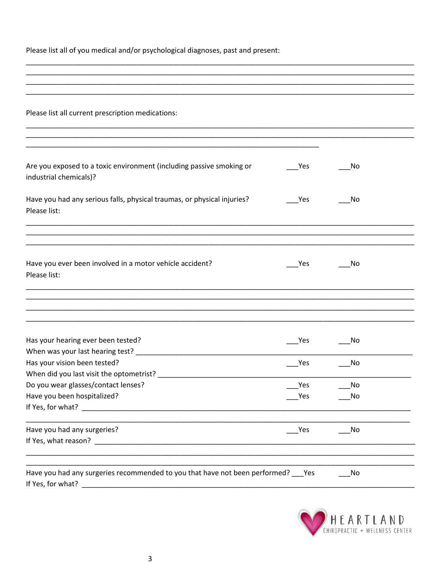Please list all of you medical and/or psychological diagnoses, past and present:

| Please list all current prescription medications:                                                                                                                                                                              |            |                      |  |
|--------------------------------------------------------------------------------------------------------------------------------------------------------------------------------------------------------------------------------|------------|----------------------|--|
|                                                                                                                                                                                                                                |            |                      |  |
| Are you exposed to a toxic environment (including passive smoking or<br>industrial chemicals)?                                                                                                                                 | Yes        | No                   |  |
| Have you had any serious falls, physical traumas, or physical injuries?<br>Please list:                                                                                                                                        | Yes        | No                   |  |
|                                                                                                                                                                                                                                |            |                      |  |
| Have you ever been involved in a motor vehicle accident?<br>Please list:                                                                                                                                                       | Yes        | No                   |  |
|                                                                                                                                                                                                                                |            |                      |  |
|                                                                                                                                                                                                                                |            |                      |  |
| Has your hearing ever been tested?                                                                                                                                                                                             | Yes        | No                   |  |
| Has your vision been tested?                                                                                                                                                                                                   | Yes        | No                   |  |
| Do you wear glasses/contact lenses?<br>Have you been hospitalized?                                                                                                                                                             | Yes<br>Yes | No<br>N <sub>o</sub> |  |
| If Yes, for what? The contract of the contract of the contract of the contract of the contract of the contract of the contract of the contract of the contract of the contract of the contract of the contract of the contract |            |                      |  |
| Have you had any surgeries?                                                                                                                                                                                                    | _Yes       | No                   |  |
|                                                                                                                                                                                                                                |            |                      |  |
| Have you had any surgeries recommended to you that have not been performed? ___ Yes<br>If Yes, for what?                                                                                                                       |            | No                   |  |

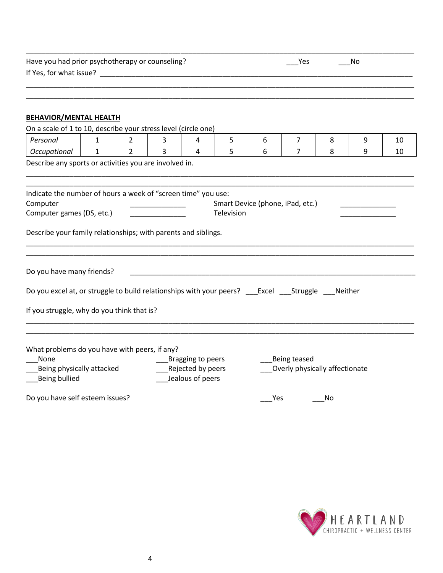| Have you had prior psychotherapy or counseling? | Yes | <b>NO</b> |  |
|-------------------------------------------------|-----|-----------|--|
| If Yes, for what issue?                         |     |           |  |
|                                                 |     |           |  |

\_\_\_\_\_\_\_\_\_\_\_\_\_\_\_\_\_\_\_\_\_\_\_\_\_\_\_\_\_\_\_\_\_\_\_\_\_\_\_\_\_\_\_\_\_\_\_\_\_\_\_\_\_\_\_\_\_\_\_\_\_\_\_\_\_\_\_\_\_\_\_\_\_\_\_\_\_\_\_\_\_\_\_\_\_\_\_\_\_\_\_\_\_\_\_\_\_\_

# **BEHAVIOR/MENTAL HEALTH**

| On a scale of 1 to 10, describe your stress level (circle one)                                             |              |                |                |                                                               |            |                                  |              |                                |   |    |
|------------------------------------------------------------------------------------------------------------|--------------|----------------|----------------|---------------------------------------------------------------|------------|----------------------------------|--------------|--------------------------------|---|----|
| Personal                                                                                                   | $\mathbf{1}$ | $\overline{2}$ | 3              | 4                                                             | 5          | 6                                | 7            | 8                              | 9 | 10 |
| Occupational                                                                                               | $\mathbf{1}$ | $\overline{2}$ | $\overline{3}$ | 4                                                             | 5          | 6                                | 7            | 8                              | 9 | 10 |
| Describe any sports or activities you are involved in.                                                     |              |                |                |                                                               |            |                                  |              |                                |   |    |
| Indicate the number of hours a week of "screen time" you use:<br>Computer<br>Computer games (DS, etc.)     |              |                |                |                                                               | Television | Smart Device (phone, iPad, etc.) |              |                                |   |    |
| Describe your family relationships; with parents and siblings.                                             |              |                |                |                                                               |            |                                  |              |                                |   |    |
| Do you have many friends?                                                                                  |              |                |                |                                                               |            |                                  |              |                                |   |    |
| If you struggle, why do you think that is?                                                                 |              |                |                |                                                               |            |                                  |              |                                |   |    |
| What problems do you have with peers, if any?<br>None<br>Being physically attacked<br><b>Being bullied</b> |              |                |                | ___Bragging to peers<br>Rejected by peers<br>Jealous of peers |            |                                  | Being teased | Overly physically affectionate |   |    |
| Do you have self esteem issues?                                                                            |              |                |                |                                                               |            | Yes                              |              | No                             |   |    |

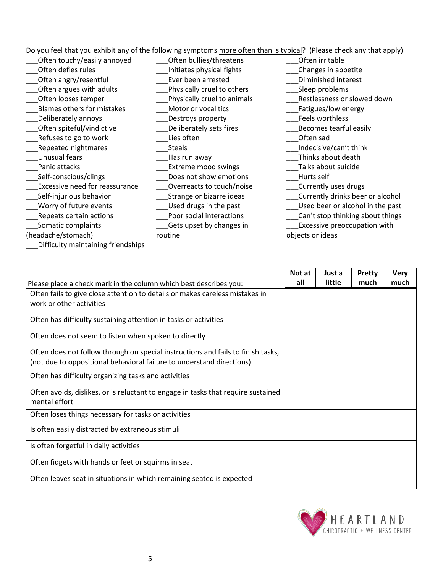Do you feel that you exhibit any of the following symptoms more often than is typical? (Please check any that apply)

| Often touchy/easily annoyed        | Often bullies/threatens     | Often irritable                     |
|------------------------------------|-----------------------------|-------------------------------------|
| Often defies rules                 | Initiates physical fights   | Changes in appetite                 |
| Often angry/resentful              | Ever been arrested          | Diminished interest                 |
| Often argues with adults           | Physically cruel to others  | Sleep problems                      |
| Often looses temper                | Physically cruel to animals | Restlessness or slowed down         |
| Blames others for mistakes         | Motor or vocal tics         | Fatigues/low energy                 |
| Deliberately annoys                | Destroys property           | Feels worthless                     |
| Often spiteful/vindictive          | Deliberately sets fires     | Becomes tearful easily              |
| Refuses to go to work              | Lies often                  | Often sad                           |
| Repeated nightmares                | <b>Steals</b>               | Indecisive/can't think              |
| Unusual fears                      | Has run away                | Thinks about death                  |
| Panic attacks                      | Extreme mood swings         | Talks about suicide                 |
| Self-conscious/clings              | Does not show emotions      | Hurts self                          |
| Excessive need for reassurance     | Overreacts to touch/noise   | Currently uses drugs                |
| Self-injurious behavior            | Strange or bizarre ideas    | Currently drinks beer or alcohol    |
| Worry of future events             | Used drugs in the past      | Used beer or alcohol in the past    |
| Repeats certain actions            | Poor social interactions    | Can't stop thinking about things    |
| Somatic complaints                 | Gets upset by changes in    | <b>Excessive preoccupation with</b> |
| (headache/stomach)                 | routine                     | objects or ideas                    |
| Difficulty maintaining friendships |                             |                                     |

|                                                                                                    | Not at | Just a | Pretty | <b>Very</b> |
|----------------------------------------------------------------------------------------------------|--------|--------|--------|-------------|
| Please place a check mark in the column which best describes you:                                  | all    | little | much   | much        |
| Often fails to give close attention to details or makes careless mistakes in                       |        |        |        |             |
| work or other activities                                                                           |        |        |        |             |
| Often has difficulty sustaining attention in tasks or activities                                   |        |        |        |             |
| Often does not seem to listen when spoken to directly                                              |        |        |        |             |
| Often does not follow through on special instructions and fails to finish tasks,                   |        |        |        |             |
| (not due to oppositional behavioral failure to understand directions)                              |        |        |        |             |
| Often has difficulty organizing tasks and activities                                               |        |        |        |             |
| Often avoids, dislikes, or is reluctant to engage in tasks that require sustained<br>mental effort |        |        |        |             |
| Often loses things necessary for tasks or activities                                               |        |        |        |             |
| Is often easily distracted by extraneous stimuli                                                   |        |        |        |             |
| Is often forgetful in daily activities                                                             |        |        |        |             |
| Often fidgets with hands or feet or squirms in seat                                                |        |        |        |             |
| Often leaves seat in situations in which remaining seated is expected                              |        |        |        |             |

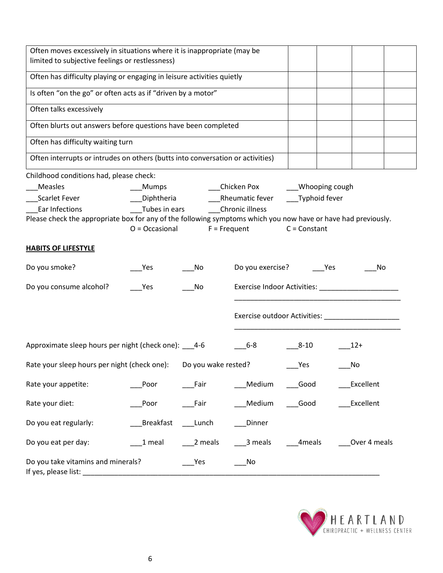| Often moves excessively in situations where it is inappropriate (may be<br>limited to subjective feelings or restlessness) |                |                     |                  |                   |              |
|----------------------------------------------------------------------------------------------------------------------------|----------------|---------------------|------------------|-------------------|--------------|
| Often has difficulty playing or engaging in leisure activities quietly                                                     |                |                     |                  |                   |              |
| Is often "on the go" or often acts as if "driven by a motor"                                                               |                |                     |                  |                   |              |
| Often talks excessively                                                                                                    |                |                     |                  |                   |              |
| Often blurts out answers before questions have been completed                                                              |                |                     |                  |                   |              |
| Often has difficulty waiting turn                                                                                          |                |                     |                  |                   |              |
| Often interrupts or intrudes on others (butts into conversation or activities)                                             |                |                     |                  |                   |              |
| Childhood conditions had, please check:                                                                                    |                |                     |                  |                   |              |
| Measles                                                                                                                    | Mumps          |                     | Chicken Pox      | ___Whooping cough |              |
| Scarlet Fever                                                                                                              | Diphtheria     |                     | Rheumatic fever  | Typhoid fever     |              |
| Ear Infections                                                                                                             | Tubes in ears  |                     | Chronic illness  |                   |              |
| Please check the appropriate box for any of the following symptoms which you now have or have had previously.              |                |                     |                  |                   |              |
|                                                                                                                            | O = Occasional |                     | $F = Frequent$   | $C = Constant$    |              |
| <b>HABITS OF LIFESTYLE</b>                                                                                                 |                |                     |                  |                   |              |
| Do you smoke?                                                                                                              | Yes            | No                  | Do you exercise? | Yes               | No           |
| Do you consume alcohol?                                                                                                    | Yes            | No                  |                  |                   |              |
|                                                                                                                            |                |                     |                  |                   |              |
| Approximate sleep hours per night (check one): 4-6                                                                         |                |                     | $6-8$            | $8 - 10$          | $12+$        |
| Rate your sleep hours per night (check one):                                                                               |                | Do you wake rested? |                  | Yes               | No           |
| Rate your appetite:                                                                                                        | Poor           | Fair                | Medium           | Good              | Excellent    |
| Rate your diet:                                                                                                            | Poor           | Fair                | Medium           | Good              | Excellent    |
| Do you eat regularly:                                                                                                      | Breakfast      | ____Lunch           | Dinner           |                   |              |
| Do you eat per day:                                                                                                        | 1 meal         | $2$ meals           | 3 meals          | 4meals            | Over 4 meals |
| Do you take vitamins and minerals?                                                                                         |                | Yes                 | No               |                   |              |

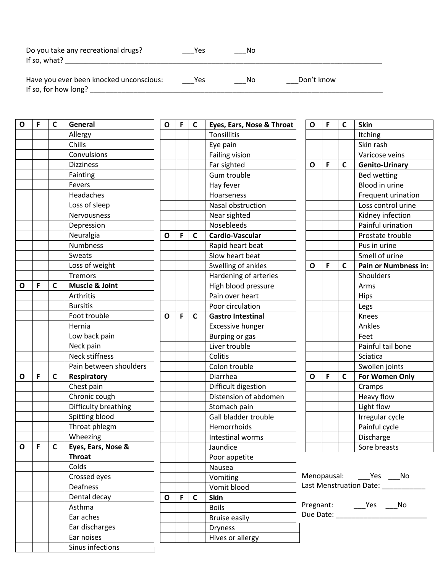| Do you take any recreational drugs?<br>If so, what?             | Yes | Nο |            |
|-----------------------------------------------------------------|-----|----|------------|
| Have you ever been knocked unconscious:<br>If so, for how long? | Yes | No | Don't know |

| $\mathbf{o}$ | F | $\mathbf c$  | General                   | O | F            | C | Eyes, Ears, Nose & Throat | O | F | $\mathsf{C}$ | <b>Skin</b>                      |
|--------------|---|--------------|---------------------------|---|--------------|---|---------------------------|---|---|--------------|----------------------------------|
|              |   |              | Allergy                   |   |              |   | <b>Tonsillitis</b>        |   |   |              | Itching                          |
|              |   |              | Chills                    |   |              |   | Eye pain                  |   |   |              | Skin rash                        |
|              |   |              | Convulsions               |   |              |   | <b>Failing vision</b>     |   |   |              | Varicose veins                   |
|              |   |              | <b>Dizziness</b>          |   |              |   | Far sighted               | O | F | C            | <b>Genito-Urinary</b>            |
|              |   |              | Fainting                  |   |              |   | Gum trouble               |   |   |              | Bed wetting                      |
|              |   |              | Fevers                    |   |              |   | Hay fever                 |   |   |              | Blood in urine                   |
|              |   |              | Headaches                 |   |              |   | Hoarseness                |   |   |              | Frequent urination               |
|              |   |              | Loss of sleep             |   |              |   | Nasal obstruction         |   |   |              | Loss control urine               |
|              |   |              | Nervousness               |   |              |   | Near sighted              |   |   |              | Kidney infection                 |
|              |   |              | Depression                |   |              |   | Nosebleeds                |   |   |              | Painful urination                |
|              |   |              | Neuralgia                 | O | F            | C | Cardio-Vascular           |   |   |              | Prostate trouble                 |
|              |   |              | Numbness                  |   |              |   | Rapid heart beat          |   |   |              | Pus in urine                     |
|              |   |              | Sweats                    |   |              |   | Slow heart beat           |   |   |              | Smell of urine                   |
|              |   |              | Loss of weight            |   |              |   | Swelling of ankles        | O | F | C            | <b>Pain or Numbness in:</b>      |
|              |   |              | Tremors                   |   |              |   | Hardening of arteries     |   |   |              | Shoulders                        |
| O            | F | C            | <b>Muscle &amp; Joint</b> |   |              |   | High blood pressure       |   |   |              | Arms                             |
|              |   |              | Arthritis                 |   |              |   | Pain over heart           |   |   |              | <b>Hips</b>                      |
|              |   |              | <b>Bursitis</b>           |   |              |   | Poor circulation          |   |   |              | Legs                             |
|              |   |              | Foot trouble              | O | F            | C | <b>Gastro Intestinal</b>  |   |   |              | Knees                            |
|              |   |              | Hernia                    |   |              |   | <b>Excessive hunger</b>   |   |   |              | Ankles                           |
|              |   |              | Low back pain             |   |              |   | Burping or gas            |   |   |              | Feet                             |
|              |   |              | Neck pain                 |   |              |   | Liver trouble             |   |   |              | Painful tail bone                |
|              |   |              | Neck stiffness            |   |              |   | Colitis                   |   |   |              | Sciatica                         |
|              |   |              | Pain between shoulders    |   |              |   | Colon trouble             |   |   |              | Swollen joints                   |
| O            | F | C            | Respiratory               |   |              |   | Diarrhea                  | O | F | $\mathsf{C}$ | For Women Only                   |
|              |   |              | Chest pain                |   |              |   | Difficult digestion       |   |   |              | Cramps                           |
|              |   |              | Chronic cough             |   |              |   | Distension of abdomen     |   |   |              | Heavy flow                       |
|              |   |              | Difficulty breathing      |   |              |   | Stomach pain              |   |   |              | Light flow                       |
|              |   |              | Spitting blood            |   |              |   | Gall bladder trouble      |   |   |              | Irregular cycle                  |
|              |   |              | Throat phlegm             |   |              |   | Hemorrhoids               |   |   |              | Painful cycle                    |
|              |   |              | Wheezing                  |   |              |   | Intestinal worms          |   |   |              | Discharge                        |
| $\mathbf{o}$ | F | $\mathsf{C}$ | Eyes, Ears, Nose &        |   |              |   | Jaundice                  |   |   |              | Sore breasts                     |
|              |   |              | <b>Throat</b>             |   |              |   | Poor appetite             |   |   |              |                                  |
|              |   |              | Colds                     |   |              |   | Nausea                    |   |   |              |                                  |
|              |   |              | Crossed eyes              |   |              |   | Vomiting                  |   |   |              | Menopausal: Yes No               |
|              |   |              | Deafness                  |   |              |   | Vomit blood               |   |   |              | Last Menstruation Date: ________ |
|              |   |              | Dental decay              | O | $\mathsf{F}$ | C | Skin                      |   |   |              |                                  |
|              |   |              | Asthma                    |   |              |   | <b>Boils</b>              |   |   |              |                                  |
|              |   |              | Ear aches                 |   |              |   | <b>Bruise easily</b>      |   |   |              | Due Date: ___________________    |
|              |   |              | Ear discharges            |   |              |   | <b>Dryness</b>            |   |   |              |                                  |
|              |   |              | Ear noises                |   |              |   | Hives or allergy          |   |   |              |                                  |
|              |   |              | Sinus infections          |   |              |   |                           |   |   |              |                                  |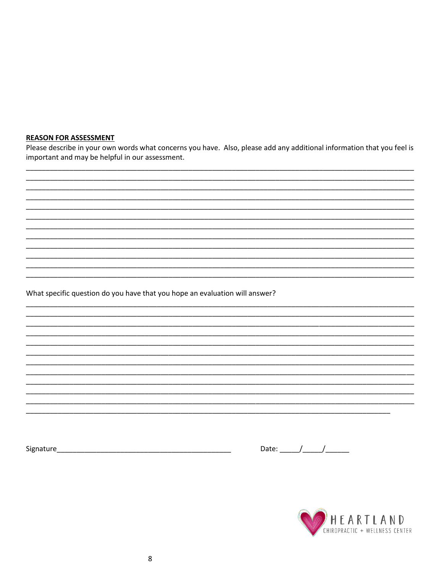#### **REASON FOR ASSESSMENT**

Please describe in your own words what concerns you have. Also, please add any additional information that you feel is important and may be helpful in our assessment.

What specific question do you have that you hope an evaluation will answer?

Date:  $\frac{1}{\sqrt{1-\frac{1}{2}}}\frac{1}{\sqrt{1-\frac{1}{2}}}\frac{1}{\sqrt{1-\frac{1}{2}}}\frac{1}{\sqrt{1-\frac{1}{2}}}\frac{1}{\sqrt{1-\frac{1}{2}}}\frac{1}{\sqrt{1-\frac{1}{2}}}\frac{1}{\sqrt{1-\frac{1}{2}}}\frac{1}{\sqrt{1-\frac{1}{2}}}\frac{1}{\sqrt{1-\frac{1}{2}}}\frac{1}{\sqrt{1-\frac{1}{2}}}\frac{1}{\sqrt{1-\frac{1}{2}}}\frac{1}{\sqrt{1-\frac{1}{2}}}\frac{1}{\sqrt{1-\frac{1}{2}}}\frac{1}{\$